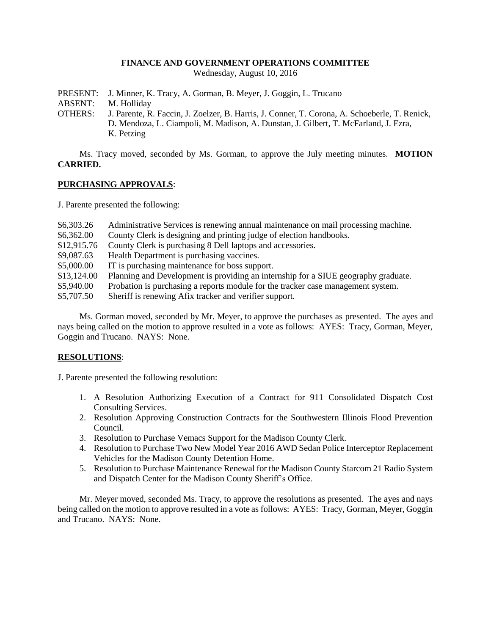### **FINANCE AND GOVERNMENT OPERATIONS COMMITTEE**

Wednesday, August 10, 2016

- PRESENT: J. Minner, K. Tracy, A. Gorman, B. Meyer, J. Goggin, L. Trucano
- ABSENT: M. Holliday
- OTHERS: J. Parente, R. Faccin, J. Zoelzer, B. Harris, J. Conner, T. Corona, A. Schoeberle, T. Renick, D. Mendoza, L. Ciampoli, M. Madison, A. Dunstan, J. Gilbert, T. McFarland, J. Ezra, K. Petzing

Ms. Tracy moved, seconded by Ms. Gorman, to approve the July meeting minutes. **MOTION CARRIED.**

# **PURCHASING APPROVALS**:

J. Parente presented the following:

| \$6,303.26  | Administrative Services is renewing annual maintenance on mail processing machine. |
|-------------|------------------------------------------------------------------------------------|
| \$6,362.00  | County Clerk is designing and printing judge of election handbooks.                |
| \$12,915.76 | County Clerk is purchasing 8 Dell laptops and accessories.                         |
| \$9,087.63  | Health Department is purchasing vaccines.                                          |
| \$5,000.00  | IT is purchasing maintenance for boss support.                                     |
| \$13,124.00 | Planning and Development is providing an internship for a SIUE geography graduate. |
| \$5,940.00  | Probation is purchasing a reports module for the tracker case management system.   |
| \$5,707.50  | Sheriff is renewing Afix tracker and verifier support.                             |

Ms. Gorman moved, seconded by Mr. Meyer, to approve the purchases as presented. The ayes and nays being called on the motion to approve resulted in a vote as follows: AYES: Tracy, Gorman, Meyer, Goggin and Trucano. NAYS: None.

# **RESOLUTIONS**:

J. Parente presented the following resolution:

- 1. A Resolution Authorizing Execution of a Contract for 911 Consolidated Dispatch Cost Consulting Services.
- 2. Resolution Approving Construction Contracts for the Southwestern Illinois Flood Prevention Council.
- 3. Resolution to Purchase Vemacs Support for the Madison County Clerk.
- 4. Resolution to Purchase Two New Model Year 2016 AWD Sedan Police Interceptor Replacement Vehicles for the Madison County Detention Home.
- 5. Resolution to Purchase Maintenance Renewal for the Madison County Starcom 21 Radio System and Dispatch Center for the Madison County Sheriff's Office.

Mr. Meyer moved, seconded Ms. Tracy, to approve the resolutions as presented. The ayes and nays being called on the motion to approve resulted in a vote as follows: AYES: Tracy, Gorman, Meyer, Goggin and Trucano. NAYS: None.